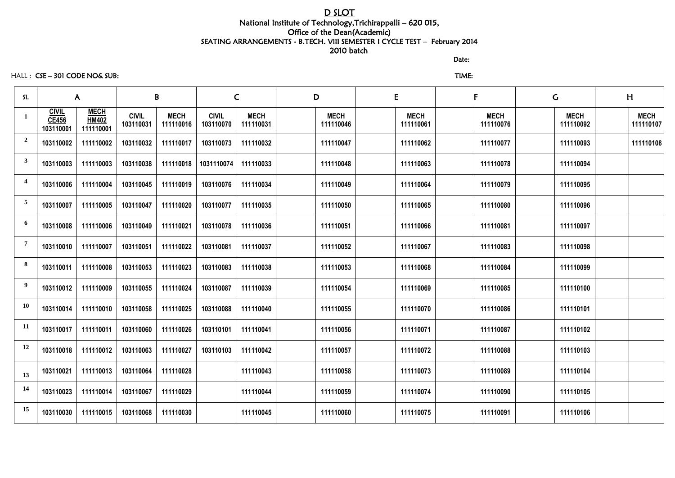# D SLOT National Institute of Technology,Trichirappalli – 620 015, Office of the Dean(Academic) SEATING ARRANGEMENTS - B.TECH. VIII SEMESTER I CYCLE TEST – February 2014 2010 batch

discussion of the contract of the contract of the Date:

## HALL : CSE – 301 CODE NO& SUB: TIME:

| SI.                     | $\mathsf{A}$                              |                                          | B                         |                          | $\mathsf{C}$              |                          | D                        |  | E<br>F                   |                          | $\mathsf C$ |                          | H |                          |
|-------------------------|-------------------------------------------|------------------------------------------|---------------------------|--------------------------|---------------------------|--------------------------|--------------------------|--|--------------------------|--------------------------|-------------|--------------------------|---|--------------------------|
| 1                       | <b>CIVIL</b><br><b>CE456</b><br>103110001 | <b>MECH</b><br><b>HM402</b><br>111110001 | <b>CIVIL</b><br>103110031 | <b>MECH</b><br>111110016 | <b>CIVIL</b><br>103110070 | <b>MECH</b><br>111110031 | <b>MECH</b><br>111110046 |  | <b>MECH</b><br>111110061 | <b>MECH</b><br>111110076 |             | <b>MECH</b><br>111110092 |   | <b>MECH</b><br>111110107 |
| $\overline{2}$          | 103110002                                 | 111110002                                | 103110032                 | 111110017                | 103110073                 | 111110032                | 111110047                |  | 111110062                | 111110077                |             | 111110093                |   | 111110108                |
| $\mathbf{3}$            | 103110003                                 | 111110003                                | 103110038                 | 111110018                | 1031110074                | 111110033                | 111110048                |  | 111110063                | 111110078                |             | 111110094                |   |                          |
| $\overline{\mathbf{4}}$ | 103110006                                 | 111110004                                | 103110045                 | 111110019                | 103110076                 | 111110034                | 111110049                |  | 111110064                | 111110079                |             | 111110095                |   |                          |
| $\overline{5}$          | 103110007                                 | 111110005                                | 103110047                 | 111110020                | 103110077                 | 111110035                | 111110050                |  | 111110065                | 111110080                |             | 111110096                |   |                          |
| 6                       | 103110008                                 | 111110006                                | 103110049                 | 111110021                | 103110078                 | 111110036                | 111110051                |  | 111110066                | 111110081                |             | 111110097                |   |                          |
| $\overline{7}$          | 103110010                                 | 111110007                                | 103110051                 | 111110022                | 103110081                 | 111110037                | 111110052                |  | 111110067                | 111110083                |             | 111110098                |   |                          |
| 8                       | 103110011                                 | 111110008                                | 103110053                 | 111110023                | 103110083                 | 111110038                | 111110053                |  | 111110068                | 111110084                |             | 111110099                |   |                          |
| 9                       | 103110012                                 | 111110009                                | 103110055                 | 111110024                | 103110087                 | 111110039                | 111110054                |  | 111110069                | 111110085                |             | 111110100                |   |                          |
| <b>10</b>               | 103110014                                 | 111110010                                | 103110058                 | 111110025                | 103110088                 | 111110040                | 111110055                |  | 111110070                | 111110086                |             | 111110101                |   |                          |
| <b>11</b>               | 103110017                                 | 111110011                                | 103110060                 | 111110026                | 103110101                 | 111110041                | 111110056                |  | 111110071                | 111110087                |             | 111110102                |   |                          |
| 12                      | 103110018                                 | 111110012                                | 103110063                 | 111110027                | 103110103                 | 111110042                | 111110057                |  | 111110072                | 111110088                |             | 111110103                |   |                          |
| 13                      | 103110021                                 | 111110013                                | 103110064                 | 111110028                |                           | 111110043                | 111110058                |  | 111110073                | 111110089                |             | 111110104                |   |                          |
| 14                      | 103110023                                 | 111110014                                | 103110067                 | 111110029                |                           | 111110044                | 111110059                |  | 111110074                | 111110090                |             | 111110105                |   |                          |
| 15                      | 103110030                                 | 111110015                                | 103110068                 | 111110030                |                           | 111110045                | 111110060                |  | 111110075                | 111110091                |             | 111110106                |   |                          |